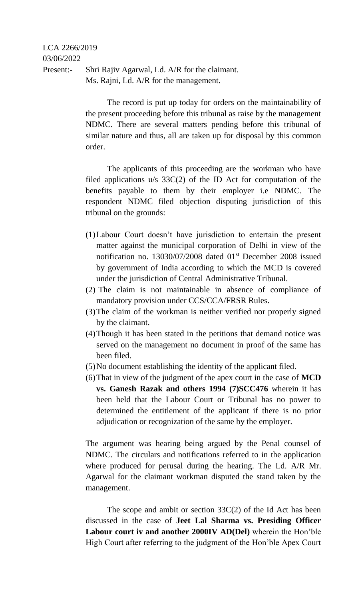## LCA 2266/2019 03/06/2022 Present:- Shri Rajiv Agarwal, Ld. A/R for the claimant. Ms. Rajni, Ld. A/R for the management.

The record is put up today for orders on the maintainability of the present proceeding before this tribunal as raise by the management NDMC. There are several matters pending before this tribunal of similar nature and thus, all are taken up for disposal by this common order.

The applicants of this proceeding are the workman who have filed applications u/s 33C(2) of the ID Act for computation of the benefits payable to them by their employer i.e NDMC. The respondent NDMC filed objection disputing jurisdiction of this tribunal on the grounds:

- (1)Labour Court doesn't have jurisdiction to entertain the present matter against the municipal corporation of Delhi in view of the notification no. 13030/07/2008 dated 01<sup>st</sup> December 2008 issued by government of India according to which the MCD is covered under the jurisdiction of Central Administrative Tribunal.
- (2) The claim is not maintainable in absence of compliance of mandatory provision under CCS/CCA/FRSR Rules.
- (3)The claim of the workman is neither verified nor properly signed by the claimant.
- (4)Though it has been stated in the petitions that demand notice was served on the management no document in proof of the same has been filed.
- (5)No document establishing the identity of the applicant filed.
- (6)That in view of the judgment of the apex court in the case of **MCD vs. Ganesh Razak and others 1994 (7)SCC476** wherein it has been held that the Labour Court or Tribunal has no power to determined the entitlement of the applicant if there is no prior adjudication or recognization of the same by the employer.

The argument was hearing being argued by the Penal counsel of NDMC. The circulars and notifications referred to in the application where produced for perusal during the hearing. The Ld. A/R Mr. Agarwal for the claimant workman disputed the stand taken by the management.

The scope and ambit or section 33C(2) of the Id Act has been discussed in the case of **Jeet Lal Sharma vs. Presiding Officer Labour court iv and another 2000IV AD(Del)** wherein the Hon'ble High Court after referring to the judgment of the Hon'ble Apex Court